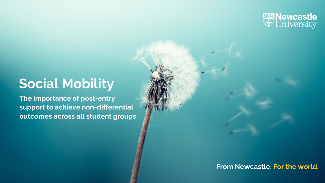

## **Social Mobility**

**The importance of post-entry support to achieve non-differential outcomes across all student groups** 

**From Newcastle. For the world.**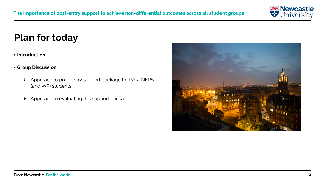

### **Plan for today**

#### • **Introduction**

- **Group Discussion**
	- $\triangleright$  Approach to post-entry support package for PARTNERS (and WP) students
	- $\triangleright$  Approach to evaluating this support package

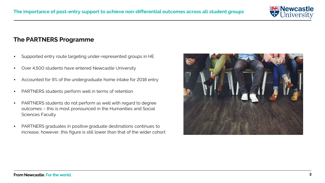

#### **The PARTNERS Programme**

- Supported entry route targeting under-represented groups in HE
- Over 4,500 students have entered Newcastle University
- Accounted for 9% of the undergraduate home intake for 2018 entry
- PARTNERS students perform well in terms of retention
- PARTNERS students do not perform as well with regard to degree outcomes – this is most pronounced in the Humanities and Social Sciences Faculty
- PARTNERS graduates in positive graduate destinations continues to increase, however, this figure is still lower than that of the wider cohort

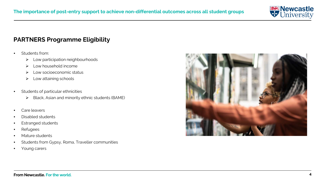

#### **PARTNERS Programme Eligibility**

- Students from:
	- $\blacktriangleright$  Low participation neighbourhoods
	- > Low household income
	- $\triangleright$  Low socioeconomic status
	- $\blacktriangleright$  Low attaining schools
- Students of particular ethnicities
	- Black, Asian and minority ethnic students (BAME)
- Care leavers
- Disabled students
- Estranged students
- Refugees
- Mature students
- Students from Gypsy, Roma, Traveller communities
- Young carers

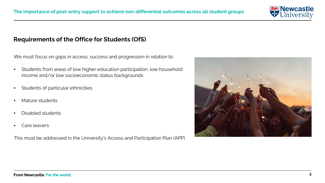

#### **Requirements of the Office for Students (OfS)**

We must focus on gaps in access, success and progression in relation to:

- Students from areas of low higher education participation, low household income and/or low socioeconomic status backgrounds
- Students of particular ethnicities
- Mature students
- Disabled students
- Care leavers

This must be addressed in the University's Access and Participation Plan (APP)

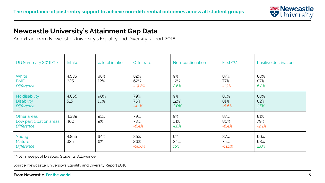

#### **Newcastle University's Attainment Gap Data**

An extract from Newcastle University's Equality and Diversity Report 2018

| <b>UG Summary 2016/17</b>                                   | Intake       | % total intake | Offer rate             | Non-continuation   | First/2:1              | Positive destinations |
|-------------------------------------------------------------|--------------|----------------|------------------------|--------------------|------------------------|-----------------------|
| White<br><b>BME</b><br><b>Difference</b>                    | 4,535<br>625 | 88%<br>12%     | 82%<br>62%<br>$-19.2%$ | 9%<br>12%<br>2.6%  | 87%<br>77%<br>$-10%$   | 80%<br>87%<br>6.8%    |
| No disability<br><b>Disability</b><br><b>Difference</b>     | 4,665<br>515 | 90%<br>10%     | 79%<br>75%<br>$-4.1%$  | 9%<br>12%*<br>3.0% | 86%<br>81%<br>$-5.6%$  | 80%<br>82%<br>1.5%    |
| Other areas<br>Low participation areas<br><b>Difference</b> | 4,389<br>460 | 91%<br>9%      | 79%<br>73%<br>$-6.4%$  | 9%<br>14%<br>4.8%  | 87%<br>80%<br>$-6.4%$  | 81%<br>79%<br>$-2.1%$ |
| Young<br><b>Mature</b><br><b>Difference</b>                 | 4,855<br>325 | 94%<br>6%      | 85%<br>26%<br>$-58.6%$ | 9%<br>24%<br>15%   | 87%<br>75%<br>$-11.5%$ | 96%<br>98%<br>2.0%    |

\* Not in receipt of Disabled Students' Allowance

Source: Newcastle University's Equality and Diversity Report 2018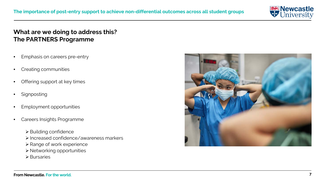

#### **What are we doing to address this? The PARTNERS Programme**

- Emphasis on careers pre-entry
- Creating communities
- Offering support at key times
- **Signposting**
- Employment opportunities
- Careers Insights Programme
	- $\triangleright$  Building confidence
	- Increased confidence/awareness markers
	- ▶ Range of work experience
	- Networking opportunities
	- $\triangleright$  Bursaries

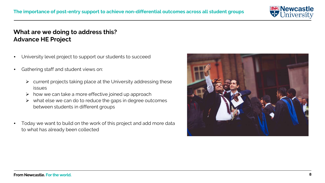

#### **What are we doing to address this? Advance HE Project**

- University level project to support our students to succeed
- Gathering staff and student views on:
	- $\triangleright$  current projects taking place at the University addressing these issues
	- $\triangleright$  how we can take a more effective joined up approach
	- $\triangleright$  what else we can do to reduce the gaps in degree outcomes between students in different groups
- Today we want to build on the work of this project and add more data to what has already been collected

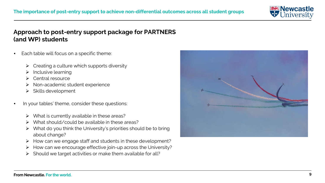

#### **Approach to post-entry support package for PARTNERS (and WP) students**

- Each table will focus on a specific theme:
	- Creating a culture which supports diversity
	- $\triangleright$  Inclusive learning
	- Central resource
	- > Non-academic student experience
	- $\triangleright$  Skills development
- In your tables' theme, consider these questions:
	- What is currently available in these areas?
	- What should/could be available in these areas?
	- $\triangleright$  What do you think the University's priorities should be to bring about change?
	- $\triangleright$  How can we engage staff and students in these development?
	- How can we encourage effective join-up across the University?
	- $\triangleright$  Should we target activities or make them available for all?

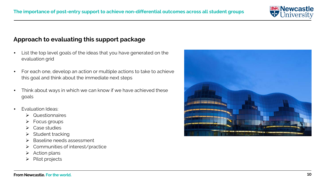

#### **Approach to evaluating this support package**

- List the top level goals of the ideas that you have generated on the evaluation grid
- For each one, develop an action or multiple actions to take to achieve this goal and think about the immediate next steps
- Think about ways in which we can know if we have achieved these goals
- Evaluation Ideas:
	- Questionnaires
	- $\triangleright$  Focus groups
	- Case studies
	- $\triangleright$  Student tracking
	- > Baseline needs assessment
	- ▶ Communities of interest/practice
	- $\triangleright$  Action plans
	- $\triangleright$  Pilot projects